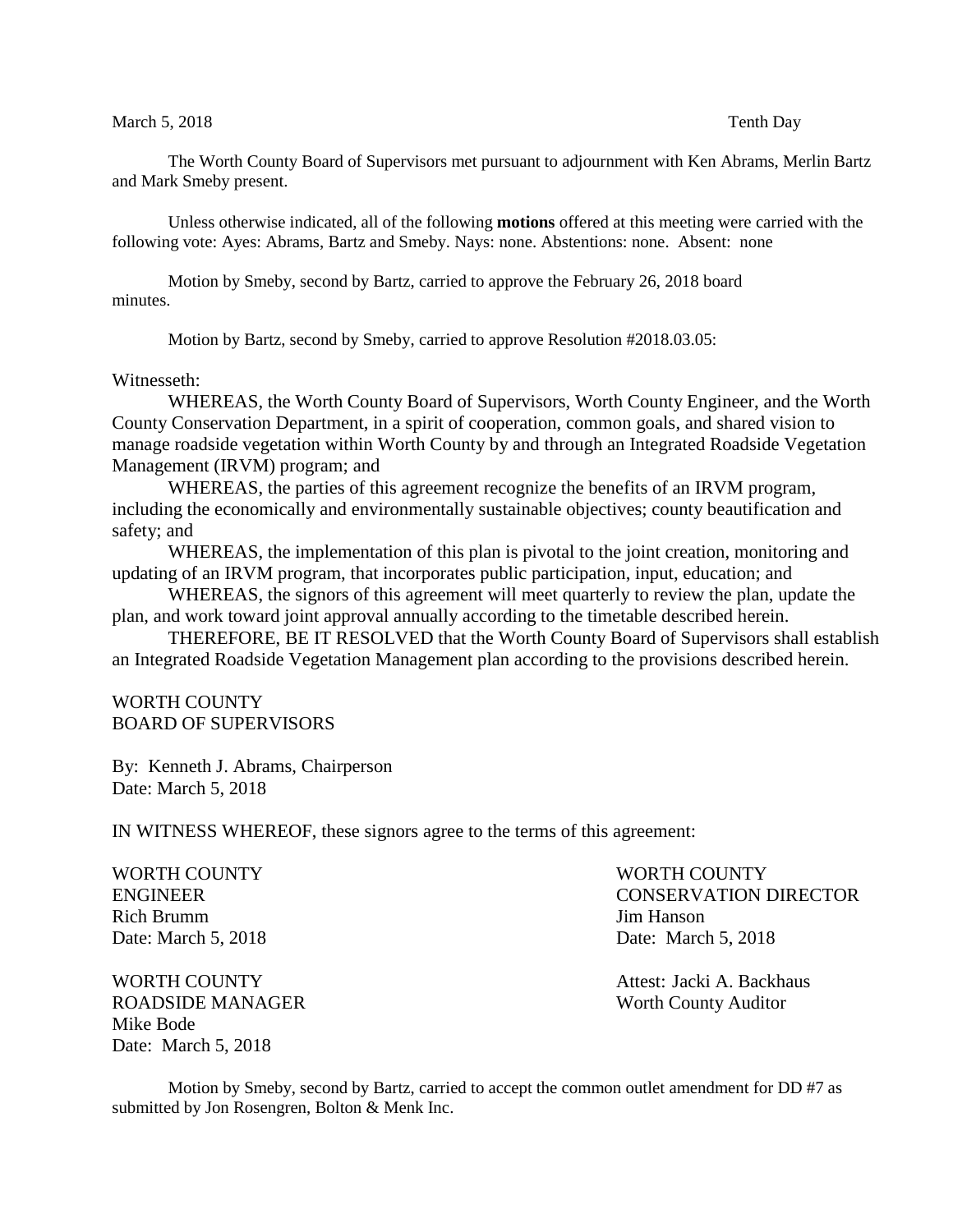## March 5, 2018 Tenth Day

The Worth County Board of Supervisors met pursuant to adjournment with Ken Abrams, Merlin Bartz and Mark Smeby present.

Unless otherwise indicated, all of the following **motions** offered at this meeting were carried with the following vote: Ayes: Abrams, Bartz and Smeby. Nays: none. Abstentions: none. Absent: none

Motion by Smeby, second by Bartz, carried to approve the February 26, 2018 board minutes.

Motion by Bartz, second by Smeby, carried to approve Resolution #2018.03.05:

## Witnesseth:

WHEREAS, the Worth County Board of Supervisors, Worth County Engineer, and the Worth County Conservation Department, in a spirit of cooperation, common goals, and shared vision to manage roadside vegetation within Worth County by and through an Integrated Roadside Vegetation Management (IRVM) program; and

WHEREAS, the parties of this agreement recognize the benefits of an IRVM program, including the economically and environmentally sustainable objectives; county beautification and safety; and

WHEREAS, the implementation of this plan is pivotal to the joint creation, monitoring and updating of an IRVM program, that incorporates public participation, input, education; and

WHEREAS, the signors of this agreement will meet quarterly to review the plan, update the plan, and work toward joint approval annually according to the timetable described herein.

THEREFORE, BE IT RESOLVED that the Worth County Board of Supervisors shall establish an Integrated Roadside Vegetation Management plan according to the provisions described herein.

## WORTH COUNTY BOARD OF SUPERVISORS

By: Kenneth J. Abrams, Chairperson Date: March 5, 2018

IN WITNESS WHEREOF, these signors agree to the terms of this agreement:

| WORTH COUNTY        | WORTH COUNTY                 |
|---------------------|------------------------------|
| <b>ENGINEER</b>     | <b>CONSERVATION DIRECTOR</b> |
| Rich Brumm          | Jim Hanson                   |
| Date: March 5, 2018 | Date: March 5, 2018          |

WORTH COUNTY **Attest:** Jacki A. Backhaus ROADSIDE MANAGER Worth County Auditor Mike Bode Date: March 5, 2018

Motion by Smeby, second by Bartz, carried to accept the common outlet amendment for DD #7 as submitted by Jon Rosengren, Bolton & Menk Inc.